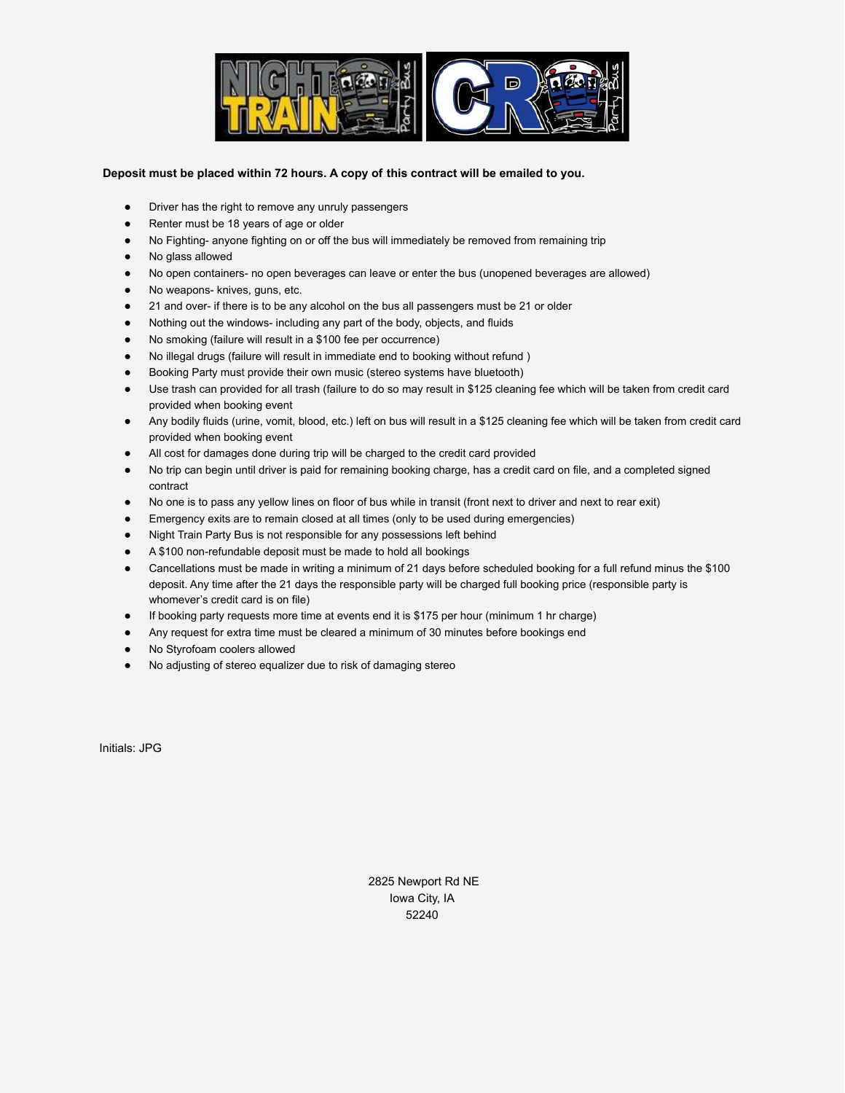

## **Deposit must be placed within 72 hours. A copy of this contract will be emailed to you.**

- Driver has the right to remove any unruly passengers
- Renter must be 18 years of age or older
- No Fighting- anyone fighting on or off the bus will immediately be removed from remaining trip
- No glass allowed
- No open containers- no open beverages can leave or enter the bus (unopened beverages are allowed)
- No weapons- knives, guns, etc.
- 21 and over- if there is to be any alcohol on the bus all passengers must be 21 or older
- Nothing out the windows- including any part of the body, objects, and fluids
- No smoking (failure will result in a \$100 fee per occurrence)
- No illegal drugs (failure will result in immediate end to booking without refund )
- Booking Party must provide their own music (stereo systems have bluetooth)
- Use trash can provided for all trash (failure to do so may result in \$125 cleaning fee which will be taken from credit card provided when booking event
- Any bodily fluids (urine, vomit, blood, etc.) left on bus will result in a \$125 cleaning fee which will be taken from credit card provided when booking event
- All cost for damages done during trip will be charged to the credit card provided
- No trip can begin until driver is paid for remaining booking charge, has a credit card on file, and a completed signed contract
- No one is to pass any yellow lines on floor of bus while in transit (front next to driver and next to rear exit)
- Emergency exits are to remain closed at all times (only to be used during emergencies)
- Night Train Party Bus is not responsible for any possessions left behind
- A \$100 non-refundable deposit must be made to hold all bookings
- Cancellations must be made in writing a minimum of 21 days before scheduled booking for a full refund minus the \$100 deposit. Any time after the 21 days the responsible party will be charged full booking price (responsible party is whomever's credit card is on file)
- If booking party requests more time at events end it is \$175 per hour (minimum 1 hr charge)
- Any request for extra time must be cleared a minimum of 30 minutes before bookings end
- No Styrofoam coolers allowed
- No adjusting of stereo equalizer due to risk of damaging stereo

Initials: JPG

2825 Newport Rd NE Iowa City, IA 52240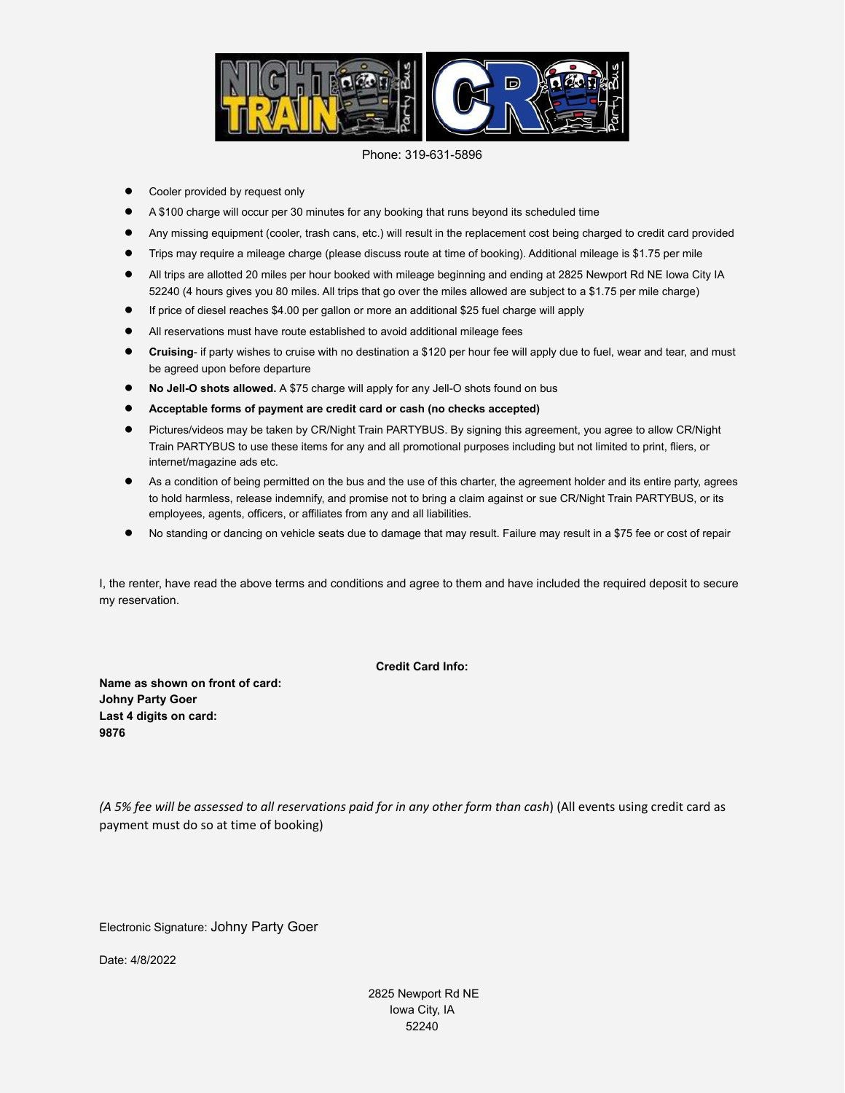

Phone: 319-631-5896

- Cooler provided by request only
- A \$100 charge will occur per 30 minutes for any booking that runs beyond its scheduled time
- Any missing equipment (cooler, trash cans, etc.) will result in the replacement cost being charged to credit card provided
- Trips may require a mileage charge (please discuss route at time of booking). Additional mileage is \$1.75 per mile
- All trips are allotted 20 miles per hour booked with mileage beginning and ending at 2825 Newport Rd NE Iowa City IA 52240 (4 hours gives you 80 miles. All trips that go over the miles allowed are subject to a \$1.75 per mile charge)
- If price of diesel reaches \$4.00 per gallon or more an additional \$25 fuel charge will apply
- All reservations must have route established to avoid additional mileage fees
- **Cruising** if party wishes to cruise with no destination a \$120 per hour fee will apply due to fuel, wear and tear, and must be agreed upon before departure
- **No Jell-O shots allowed.** A \$75 charge will apply for any Jell-O shots found on bus
- **Acceptable forms of payment are credit card or cash (no checks accepted)**
- Pictures/videos may be taken by CR/Night Train PARTYBUS. By signing this agreement, you agree to allow CR/Night Train PARTYBUS to use these items for any and all promotional purposes including but not limited to print, fliers, or internet/magazine ads etc.
- As a condition of being permitted on the bus and the use of this charter, the agreement holder and its entire party, agrees to hold harmless, release indemnify, and promise not to bring a claim against or sue CR/Night Train PARTYBUS, or its employees, agents, officers, or affiliates from any and all liabilities.
- No standing or dancing on vehicle seats due to damage that may result. Failure may result in a \$75 fee or cost of repair

I, the renter, have read the above terms and conditions and agree to them and have included the required deposit to secure my reservation.

**Credit Card Info:**

**Name as shown on front of card: Johny Party Goer Last 4 digits on card: 9876**

(A 5% fee will be assessed to all reservations paid for in any other form than cash) (All events using credit card as payment must do so at time of booking)

Electronic Signature: Johny Party Goer

Date: 4/8/2022